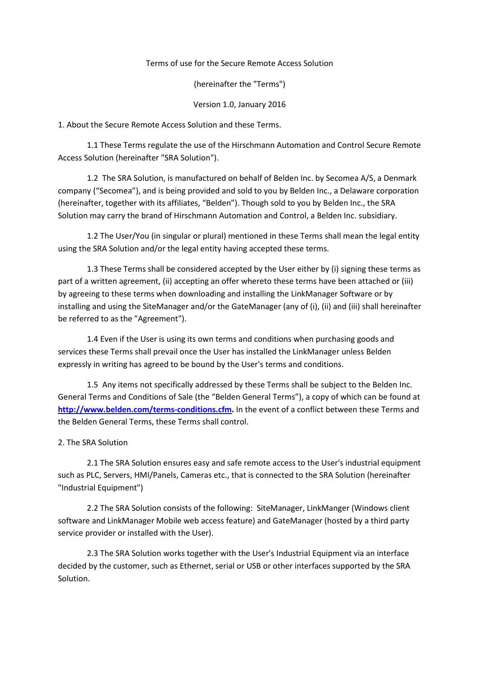## Terms of use for the Secure Remote Access Solution

(hereinafter the "Terms")

## Version 1.0, January 2016

1. About the Secure Remote Access Solution and these Terms.

1.1 These Terms regulate the use of the Hirschmann Automation and Control Secure Remote Access Solution (hereinafter "SRA Solution").

1.2 The SRA Solution, is manufactured on behalf of Belden Inc. by Secomea A/S, a Denmark company ("Secomea"), and is being provided and sold to you by Belden Inc., a Delaware corporation (hereinafter, together with its affiliates, "Belden"). Though sold to you by Belden Inc., the SRA Solution may carry the brand of Hirschmann Automation and Control, a Belden Inc. subsidiary.

1.2 The User/You (in singular or plural) mentioned in these Terms shall mean the legal entity using the SRA Solution and/or the legal entity having accepted these terms.

1.3 These Terms shall be considered accepted by the User either by (i) signing these terms as part of a written agreement, (ii) accepting an offer whereto these terms have been attached or (iii) by agreeing to these terms when downloading and installing the LinkManager Software or by installing and using the SiteManager and/or the GateManager (any of (i), (ii) and (iii) shall hereinafter be referred to as the "Agreement").

1.4 Even if the User is using its own terms and conditions when purchasing goods and services these Terms shall prevail once the User has installed the LinkManager unless Belden expressly in writing has agreed to be bound by the User's terms and conditions.

1.5 Any items not specifically addressed by these Terms shall be subject to the Belden Inc. General Terms and Conditions of Sale (the "Belden General Terms"), a copy of which can be found at **http://www.belden.com/terms-conditions.cfm.** In the event of a conflict between these Terms and the Belden General Terms, these Terms shall control.

# 2. The SRA Solution

2.1 The SRA Solution ensures easy and safe remote access to the User's industrial equipment such as PLC, Servers, HMI/Panels, Cameras etc., that is connected to the SRA Solution (hereinafter "Industrial Equipment")

2.2 The SRA Solution consists of the following: SiteManager, LinkManger (Windows client software and LinkManager Mobile web access feature) and GateManager (hosted by a third party service provider or installed with the User).

2.3 The SRA Solution works together with the User's Industrial Equipment via an interface decided by the customer, such as Ethernet, serial or USB or other interfaces supported by the SRA Solution.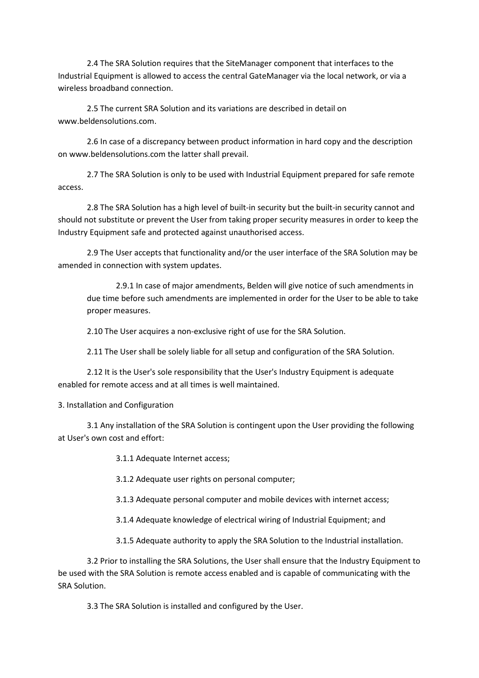2.4 The SRA Solution requires that the SiteManager component that interfaces to the Industrial Equipment is allowed to access the central GateManager via the local network, or via a wireless broadband connection.

2.5 The current SRA Solution and its variations are described in detail on www.beldensolutions.com.

2.6 In case of a discrepancy between product information in hard copy and the description on www.beldensolutions.com the latter shall prevail.

2.7 The SRA Solution is only to be used with Industrial Equipment prepared for safe remote access.

2.8 The SRA Solution has a high level of built-in security but the built-in security cannot and should not substitute or prevent the User from taking proper security measures in order to keep the Industry Equipment safe and protected against unauthorised access.

2.9 The User accepts that functionality and/or the user interface of the SRA Solution may be amended in connection with system updates.

2.9.1 In case of major amendments, Belden will give notice of such amendments in due time before such amendments are implemented in order for the User to be able to take proper measures.

2.10 The User acquires a non-exclusive right of use for the SRA Solution.

2.11 The User shall be solely liable for all setup and configuration of the SRA Solution.

2.12 It is the User's sole responsibility that the User's Industry Equipment is adequate enabled for remote access and at all times is well maintained.

3. Installation and Configuration

3.1 Any installation of the SRA Solution is contingent upon the User providing the following at User's own cost and effort:

3.1.1 Adequate Internet access;

3.1.2 Adequate user rights on personal computer;

3.1.3 Adequate personal computer and mobile devices with internet access;

3.1.4 Adequate knowledge of electrical wiring of Industrial Equipment; and

3.1.5 Adequate authority to apply the SRA Solution to the Industrial installation.

3.2 Prior to installing the SRA Solutions, the User shall ensure that the Industry Equipment to be used with the SRA Solution is remote access enabled and is capable of communicating with the SRA Solution.

3.3 The SRA Solution is installed and configured by the User.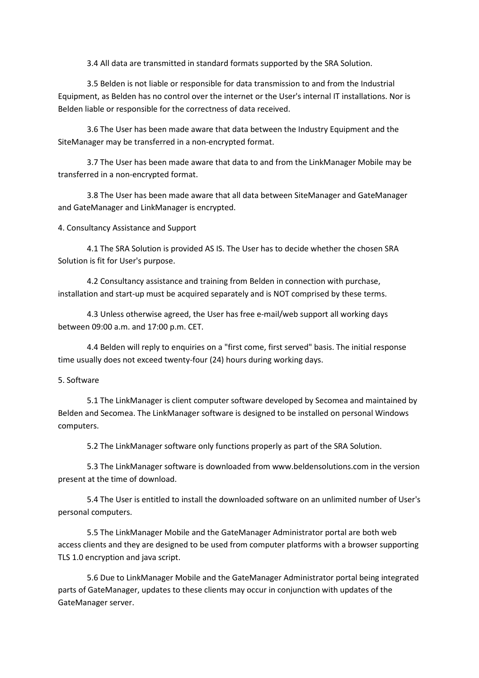3.4 All data are transmitted in standard formats supported by the SRA Solution.

3.5 Belden is not liable or responsible for data transmission to and from the Industrial Equipment, as Belden has no control over the internet or the User's internal IT installations. Nor is Belden liable or responsible for the correctness of data received.

3.6 The User has been made aware that data between the Industry Equipment and the SiteManager may be transferred in a non-encrypted format.

3.7 The User has been made aware that data to and from the LinkManager Mobile may be transferred in a non-encrypted format.

3.8 The User has been made aware that all data between SiteManager and GateManager and GateManager and LinkManager is encrypted.

4. Consultancy Assistance and Support

4.1 The SRA Solution is provided AS IS. The User has to decide whether the chosen SRA Solution is fit for User's purpose.

4.2 Consultancy assistance and training from Belden in connection with purchase, installation and start-up must be acquired separately and is NOT comprised by these terms.

4.3 Unless otherwise agreed, the User has free e-mail/web support all working days between 09:00 a.m. and 17:00 p.m. CET.

4.4 Belden will reply to enquiries on a "first come, first served" basis. The initial response time usually does not exceed twenty-four (24) hours during working days.

#### 5. Software

5.1 The LinkManager is client computer software developed by Secomea and maintained by Belden and Secomea. The LinkManager software is designed to be installed on personal Windows computers.

5.2 The LinkManager software only functions properly as part of the SRA Solution.

5.3 The LinkManager software is downloaded from www.beldensolutions.com in the version present at the time of download.

5.4 The User is entitled to install the downloaded software on an unlimited number of User's personal computers.

5.5 The LinkManager Mobile and the GateManager Administrator portal are both web access clients and they are designed to be used from computer platforms with a browser supporting TLS 1.0 encryption and java script.

5.6 Due to LinkManager Mobile and the GateManager Administrator portal being integrated parts of GateManager, updates to these clients may occur in conjunction with updates of the GateManager server.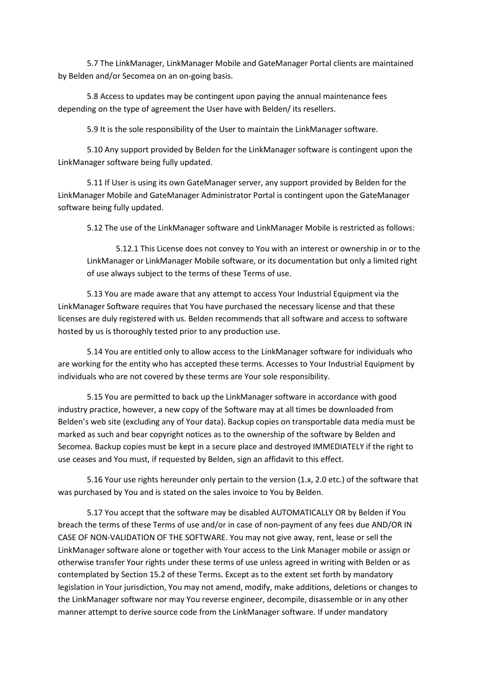5.7 The LinkManager, LinkManager Mobile and GateManager Portal clients are maintained by Belden and/or Secomea on an on-going basis.

5.8 Access to updates may be contingent upon paying the annual maintenance fees depending on the type of agreement the User have with Belden/ its resellers.

5.9 It is the sole responsibility of the User to maintain the LinkManager software.

5.10 Any support provided by Belden for the LinkManager software is contingent upon the LinkManager software being fully updated.

5.11 If User is using its own GateManager server, any support provided by Belden for the LinkManager Mobile and GateManager Administrator Portal is contingent upon the GateManager software being fully updated.

5.12 The use of the LinkManager software and LinkManager Mobile is restricted as follows:

5.12.1 This License does not convey to You with an interest or ownership in or to the LinkManager or LinkManager Mobile software, or its documentation but only a limited right of use always subject to the terms of these Terms of use.

5.13 You are made aware that any attempt to access Your Industrial Equipment via the LinkManager Software requires that You have purchased the necessary license and that these licenses are duly registered with us. Belden recommends that all software and access to software hosted by us is thoroughly tested prior to any production use.

5.14 You are entitled only to allow access to the LinkManager software for individuals who are working for the entity who has accepted these terms. Accesses to Your Industrial Equipment by individuals who are not covered by these terms are Your sole responsibility.

5.15 You are permitted to back up the LinkManager software in accordance with good industry practice, however, a new copy of the Software may at all times be downloaded from Belden's web site (excluding any of Your data). Backup copies on transportable data media must be marked as such and bear copyright notices as to the ownership of the software by Belden and Secomea. Backup copies must be kept in a secure place and destroyed IMMEDIATELY if the right to use ceases and You must, if requested by Belden, sign an affidavit to this effect.

5.16 Your use rights hereunder only pertain to the version (1.x, 2.0 etc.) of the software that was purchased by You and is stated on the sales invoice to You by Belden.

5.17 You accept that the software may be disabled AUTOMATICALLY OR by Belden if You breach the terms of these Terms of use and/or in case of non-payment of any fees due AND/OR IN CASE OF NON-VALIDATION OF THE SOFTWARE. You may not give away, rent, lease or sell the LinkManager software alone or together with Your access to the Link Manager mobile or assign or otherwise transfer Your rights under these terms of use unless agreed in writing with Belden or as contemplated by Section 15.2 of these Terms. Except as to the extent set forth by mandatory legislation in Your jurisdiction, You may not amend, modify, make additions, deletions or changes to the LinkManager software nor may You reverse engineer, decompile, disassemble or in any other manner attempt to derive source code from the LinkManager software. If under mandatory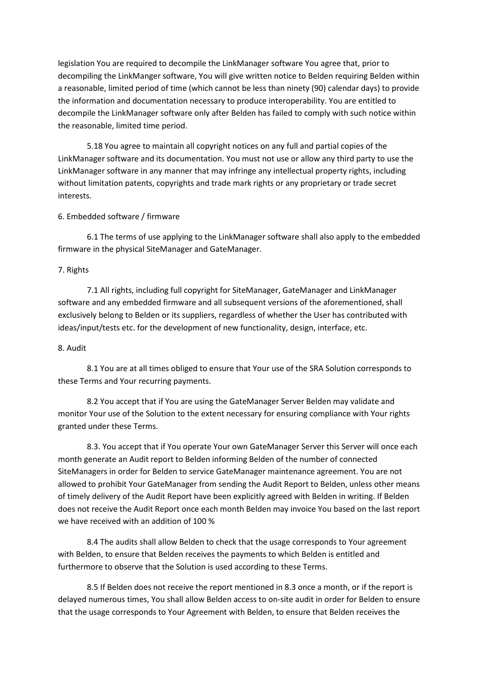legislation You are required to decompile the LinkManager software You agree that, prior to decompiling the LinkManger software, You will give written notice to Belden requiring Belden within a reasonable, limited period of time (which cannot be less than ninety (90) calendar days) to provide the information and documentation necessary to produce interoperability. You are entitled to decompile the LinkManager software only after Belden has failed to comply with such notice within the reasonable, limited time period.

5.18 You agree to maintain all copyright notices on any full and partial copies of the LinkManager software and its documentation. You must not use or allow any third party to use the LinkManager software in any manner that may infringe any intellectual property rights, including without limitation patents, copyrights and trade mark rights or any proprietary or trade secret interests.

### 6. Embedded software / firmware

6.1 The terms of use applying to the LinkManager software shall also apply to the embedded firmware in the physical SiteManager and GateManager.

### 7. Rights

7.1 All rights, including full copyright for SiteManager, GateManager and LinkManager software and any embedded firmware and all subsequent versions of the aforementioned, shall exclusively belong to Belden or its suppliers, regardless of whether the User has contributed with ideas/input/tests etc. for the development of new functionality, design, interface, etc.

# 8. Audit

8.1 You are at all times obliged to ensure that Your use of the SRA Solution corresponds to these Terms and Your recurring payments.

8.2 You accept that if You are using the GateManager Server Belden may validate and monitor Your use of the Solution to the extent necessary for ensuring compliance with Your rights granted under these Terms.

8.3. You accept that if You operate Your own GateManager Server this Server will once each month generate an Audit report to Belden informing Belden of the number of connected SiteManagers in order for Belden to service GateManager maintenance agreement. You are not allowed to prohibit Your GateManager from sending the Audit Report to Belden, unless other means of timely delivery of the Audit Report have been explicitly agreed with Belden in writing. If Belden does not receive the Audit Report once each month Belden may invoice You based on the last report we have received with an addition of 100 %

8.4 The audits shall allow Belden to check that the usage corresponds to Your agreement with Belden, to ensure that Belden receives the payments to which Belden is entitled and furthermore to observe that the Solution is used according to these Terms.

8.5 If Belden does not receive the report mentioned in 8.3 once a month, or if the report is delayed numerous times, You shall allow Belden access to on-site audit in order for Belden to ensure that the usage corresponds to Your Agreement with Belden, to ensure that Belden receives the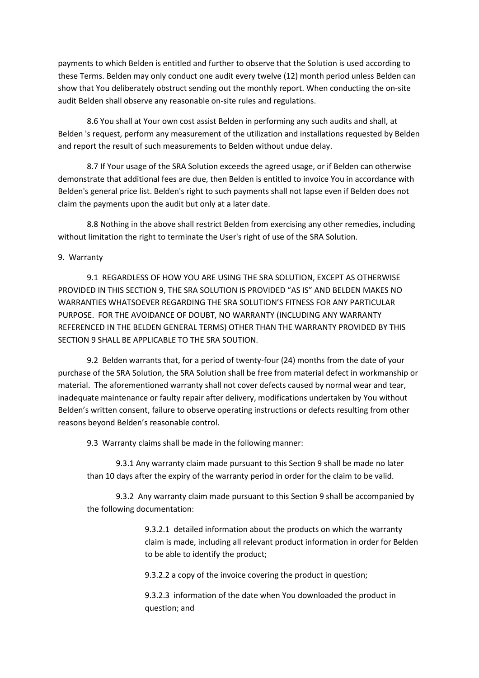payments to which Belden is entitled and further to observe that the Solution is used according to these Terms. Belden may only conduct one audit every twelve (12) month period unless Belden can show that You deliberately obstruct sending out the monthly report. When conducting the on-site audit Belden shall observe any reasonable on-site rules and regulations.

8.6 You shall at Your own cost assist Belden in performing any such audits and shall, at Belden 's request, perform any measurement of the utilization and installations requested by Belden and report the result of such measurements to Belden without undue delay.

8.7 If Your usage of the SRA Solution exceeds the agreed usage, or if Belden can otherwise demonstrate that additional fees are due, then Belden is entitled to invoice You in accordance with Belden's general price list. Belden's right to such payments shall not lapse even if Belden does not claim the payments upon the audit but only at a later date.

8.8 Nothing in the above shall restrict Belden from exercising any other remedies, including without limitation the right to terminate the User's right of use of the SRA Solution.

### 9. Warranty

 9.1 REGARDLESS OF HOW YOU ARE USING THE SRA SOLUTION, EXCEPT AS OTHERWISE PROVIDED IN THIS SECTION 9, THE SRA SOLUTION IS PROVIDED "AS IS" AND BELDEN MAKES NO WARRANTIES WHATSOEVER REGARDING THE SRA SOLUTION'S FITNESS FOR ANY PARTICULAR PURPOSE. FOR THE AVOIDANCE OF DOUBT, NO WARRANTY (INCLUDING ANY WARRANTY REFERENCED IN THE BELDEN GENERAL TERMS) OTHER THAN THE WARRANTY PROVIDED BY THIS SECTION 9 SHALL BE APPLICABLE TO THE SRA SOUTION.

 9.2 Belden warrants that, for a period of twenty-four (24) months from the date of your purchase of the SRA Solution, the SRA Solution shall be free from material defect in workmanship or material. The aforementioned warranty shall not cover defects caused by normal wear and tear, inadequate maintenance or faulty repair after delivery, modifications undertaken by You without Belden's written consent, failure to observe operating instructions or defects resulting from other reasons beyond Belden's reasonable control.

9.3 Warranty claims shall be made in the following manner:

 9.3.1 Any warranty claim made pursuant to this Section 9 shall be made no later than 10 days after the expiry of the warranty period in order for the claim to be valid.

 9.3.2 Any warranty claim made pursuant to this Section 9 shall be accompanied by the following documentation:

> 9.3.2.1 detailed information about the products on which the warranty claim is made, including all relevant product information in order for Belden to be able to identify the product;

9.3.2.2 a copy of the invoice covering the product in question;

 9.3.2.3 information of the date when You downloaded the product in question; and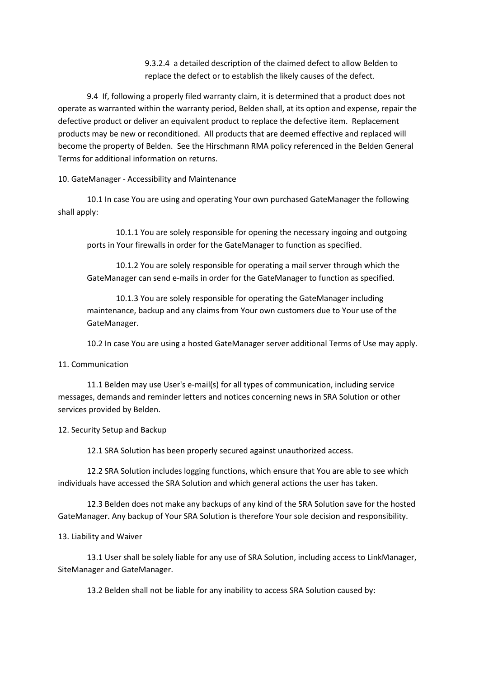9.3.2.4 a detailed description of the claimed defect to allow Belden to replace the defect or to establish the likely causes of the defect.

 9.4 If, following a properly filed warranty claim, it is determined that a product does not operate as warranted within the warranty period, Belden shall, at its option and expense, repair the defective product or deliver an equivalent product to replace the defective item. Replacement products may be new or reconditioned. All products that are deemed effective and replaced will become the property of Belden. See the Hirschmann RMA policy referenced in the Belden General Terms for additional information on returns.

10. GateManager - Accessibility and Maintenance

10.1 In case You are using and operating Your own purchased GateManager the following shall apply:

10.1.1 You are solely responsible for opening the necessary ingoing and outgoing ports in Your firewalls in order for the GateManager to function as specified.

10.1.2 You are solely responsible for operating a mail server through which the GateManager can send e-mails in order for the GateManager to function as specified.

10.1.3 You are solely responsible for operating the GateManager including maintenance, backup and any claims from Your own customers due to Your use of the GateManager.

10.2 In case You are using a hosted GateManager server additional Terms of Use may apply.

#### 11. Communication

11.1 Belden may use User's e-mail(s) for all types of communication, including service messages, demands and reminder letters and notices concerning news in SRA Solution or other services provided by Belden.

12. Security Setup and Backup

12.1 SRA Solution has been properly secured against unauthorized access.

12.2 SRA Solution includes logging functions, which ensure that You are able to see which individuals have accessed the SRA Solution and which general actions the user has taken.

12.3 Belden does not make any backups of any kind of the SRA Solution save for the hosted GateManager. Any backup of Your SRA Solution is therefore Your sole decision and responsibility.

# 13. Liability and Waiver

13.1 User shall be solely liable for any use of SRA Solution, including access to LinkManager, SiteManager and GateManager.

13.2 Belden shall not be liable for any inability to access SRA Solution caused by: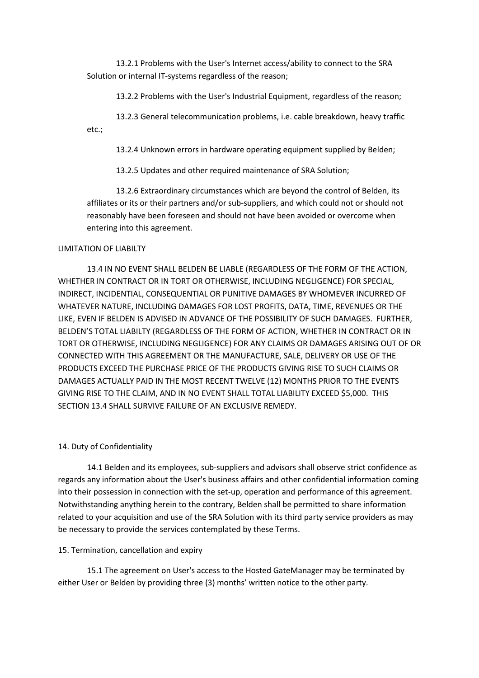13.2.1 Problems with the User's Internet access/ability to connect to the SRA Solution or internal IT-systems regardless of the reason;

13.2.2 Problems with the User's Industrial Equipment, regardless of the reason;

13.2.3 General telecommunication problems, i.e. cable breakdown, heavy traffic etc.;

13.2.4 Unknown errors in hardware operating equipment supplied by Belden;

13.2.5 Updates and other required maintenance of SRA Solution;

13.2.6 Extraordinary circumstances which are beyond the control of Belden, its affiliates or its or their partners and/or sub-suppliers, and which could not or should not reasonably have been foreseen and should not have been avoided or overcome when entering into this agreement.

#### LIMITATION OF LIABILTY

13.4 IN NO EVENT SHALL BELDEN BE LIABLE (REGARDLESS OF THE FORM OF THE ACTION, WHETHER IN CONTRACT OR IN TORT OR OTHERWISE, INCLUDING NEGLIGENCE) FOR SPECIAL, INDIRECT, INCIDENTIAL, CONSEQUENTIAL OR PUNITIVE DAMAGES BY WHOMEVER INCURRED OF WHATEVER NATURE, INCLUDING DAMAGES FOR LOST PROFITS, DATA, TIME, REVENUES OR THE LIKE, EVEN IF BELDEN IS ADVISED IN ADVANCE OF THE POSSIBILITY OF SUCH DAMAGES. FURTHER, BELDEN'S TOTAL LIABILTY (REGARDLESS OF THE FORM OF ACTION, WHETHER IN CONTRACT OR IN TORT OR OTHERWISE, INCLUDING NEGLIGENCE) FOR ANY CLAIMS OR DAMAGES ARISING OUT OF OR CONNECTED WITH THIS AGREEMENT OR THE MANUFACTURE, SALE, DELIVERY OR USE OF THE PRODUCTS EXCEED THE PURCHASE PRICE OF THE PRODUCTS GIVING RISE TO SUCH CLAIMS OR DAMAGES ACTUALLY PAID IN THE MOST RECENT TWELVE (12) MONTHS PRIOR TO THE EVENTS GIVING RISE TO THE CLAIM, AND IN NO EVENT SHALL TOTAL LIABILITY EXCEED \$5,000. THIS SECTION 13.4 SHALL SURVIVE FAILURE OF AN EXCLUSIVE REMEDY.

#### 14. Duty of Confidentiality

14.1 Belden and its employees, sub-suppliers and advisors shall observe strict confidence as regards any information about the User's business affairs and other confidential information coming into their possession in connection with the set-up, operation and performance of this agreement. Notwithstanding anything herein to the contrary, Belden shall be permitted to share information related to your acquisition and use of the SRA Solution with its third party service providers as may be necessary to provide the services contemplated by these Terms.

# 15. Termination, cancellation and expiry

15.1 The agreement on User's access to the Hosted GateManager may be terminated by either User or Belden by providing three (3) months' written notice to the other party.